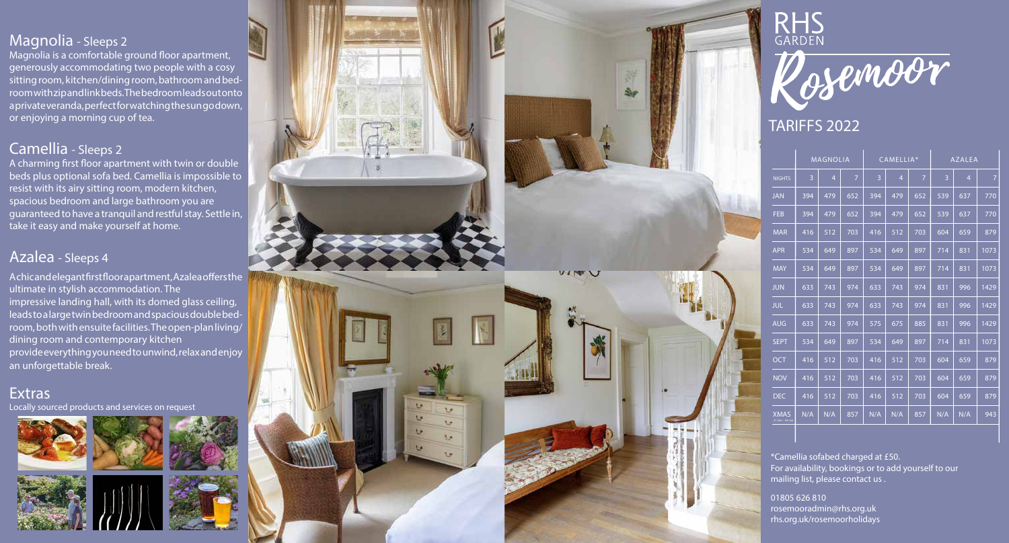## Magnolia - Sleeps 2

Magnolia is a comfortable ground floor apartment, generously accommodating two people with a cosy sitting room, kitchen/dining room, bathroom and bed room with zip and link beds. The bedroom leads out onto a private veranda, perfect for watching the sun go down, or enjoying a morning cup of tea.

### Camellia - Sleeps 2

A charming first floor apartment with twin or double beds plus optional sofa bed. Camellia is impossible to resist with its airy sitting room, modern kitchen, spacious bedroom and large bathroom you are guaranteed to have a tranquil and restful stay. Settle in, take it easy and make yourself at home.

### Azalea - Sleeps 4

A chic and elegant first floor apartment, Azalea offers the ultimate in stylish accommodation. The impressive landing hall, with its domed glass ceiling, leads to a large twin bedroom and spacious double bed room, both with ensuite facilities. The open-plan living/ dining room and contemporary kitchen provide everything you need to unwind, relax and enjoy an unforgettable break.

#### **Extras** Locally sourced products and services on request







# RHS Rosemoor

# TARIFFS 2022

|                                | <b>MAGNOLIA</b> |                |                | CAMELLIA* |                |                | <b>AZALEA</b> |                |      |
|--------------------------------|-----------------|----------------|----------------|-----------|----------------|----------------|---------------|----------------|------|
| <b>NIGHTS</b>                  | 3               | $\overline{4}$ | $\overline{7}$ | 3         | $\overline{4}$ | $\overline{7}$ | 3             | $\overline{4}$ | 7    |
| <b>JAN</b>                     | 394             | 479            | 652            | 394       | 479            | 652            | 539           | 637            | 770  |
| <b>FEB</b>                     | 394             | 479            | 652            | 394       | 479            | 652            | 539           | 637            | 770  |
| <b>MAR</b>                     | 416             | 512            | 703            | 416       | 512            | 703            | 604           | 659            | 879  |
| <b>APR</b>                     | 534             | 649            | 897            | 534       | 649            | 897            | 714           | 831            | 1073 |
| <b>MAY</b>                     | 534             | 649            | 897            | 534       | 649            | 897            | 714           | 831            | 1073 |
| <b>JUN</b>                     | 633             | 743            | 974            | 633       | 743            | 974            | 831           | 996            | 1429 |
| <b>JUL</b>                     | 633             | 743            | 974            | 633       | 743            | 974            | 831           | 996            | 1429 |
| <b>AUG</b>                     | 633             | 743            | 974            | 575       | 675            | 885            | 831           | 996            | 1429 |
| <b>SEPT</b>                    | 534             | 649            | 897            | 534       | 649            | 897            | 714           | 831            | 1073 |
| <b>OCT</b>                     | 416             | 512            | 703            | 416       | 512            | 703            | 604           | 659            | 879  |
| <b>NOV</b>                     | 416             | 512            | 703            | 416       | 512            | 703            | 604           | 659            | 879  |
| <b>DEC</b>                     | 416             | 512            | 703            | 416       | 512            | 703            | 604           | 659            | 879  |
| <b>XMAS</b><br>21 Dec - 04 Jan | N/A             | N/A            | 857            | N/A       | N/A            | 857            | N/A           | N/A            | 943  |

\*Camellia sofabed charged at £50. For availability, bookings or to add yourself to our mailing list, please contact us .

01805 626 810 rosemooradmin@rhs.org.uk rhs.org.uk/rosemoorholidays